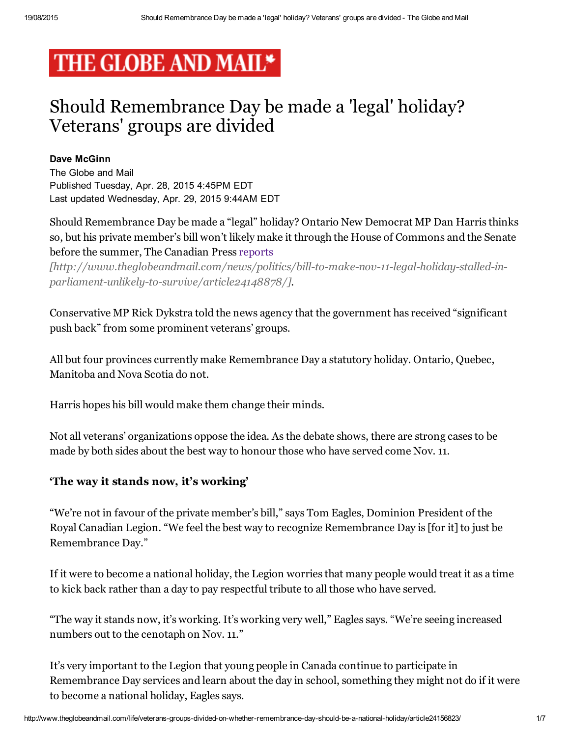# THE GLOBE AND MAIL\*

## Should Remembrance Day be made a 'legal' holiday? Veterans' groups are divided

#### Dave McGinn

The Globe and Mail Published Tuesday, Apr. 28, 2015 4:45PM EDT Last updated Wednesday, Apr. 29, 2015 9:44AM EDT

Should Remembrance Day be made a "legal" holiday? Ontario New Democrat MP Dan Harris thinks so, but his private member's bill won't likely make it through the House of Commons and the Senate before the summer, The Canadian Press reports

[http://www.theglobeandmail.com/news/politics/bill-to-make-nov-11-legal-holiday-stalled-inparliament-unlikely-to-survive/article24148878/].

Conservative MP Rick Dykstra told the news agency that the government has received "significant push back" from some prominent veterans' groups.

All but four provinces currently make Remembrance Day a statutory holiday. Ontario, Quebec, Manitoba and Nova Scotia do not.

Harris hopes his bill would make them change their minds.

Not all veterans' organizations oppose the idea. As the debate shows, there are strong cases to be made by both sides about the best way to honour those who have served come Nov. 11.

#### 'The way it stands now, it's working'

"We're not in favour of the private member's bill," says Tom Eagles, Dominion President of the Royal Canadian Legion. "We feel the best way to recognize Remembrance Day is [for it] to just be Remembrance Day."

If it were to become a national holiday, the Legion worries that many people would treat it as a time to kick back rather than a day to pay respectful tribute to all those who have served.

"The way it stands now, it's working. It's working very well," Eagles says. "We're seeing increased numbers out to the cenotaph on Nov. 11."

It's very important to the Legion that young people in Canada continue to participate in Remembrance Day services and learn about the day in school, something they might not do if it were to become a national holiday, Eagles says.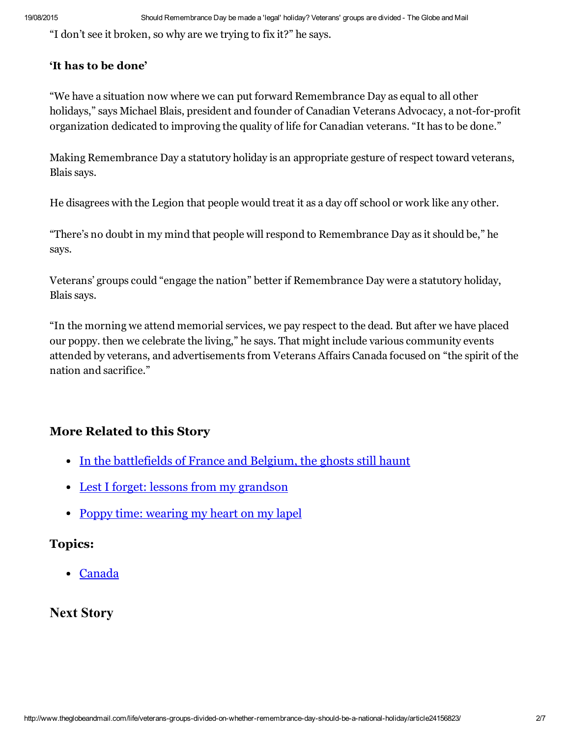"I don't see it broken, so why are we trying to fix it?" he says.

#### 'It has to be done'

"We have a situation now where we can put forward Remembrance Day as equal to all other holidays," says Michael Blais, president and founder of Canadian Veterans Advocacy, a not-for-profit organization dedicated to improving the quality of life for Canadian veterans. "It has to be done."

Making Remembrance Day a statutory holiday is an appropriate gesture of respect toward veterans, Blais says.

He disagrees with the Legion that people would treat it as a day off school or work like any other.

"There's no doubt in my mind that people will respond to Remembrance Day as it should be," he says.

Veterans' groups could "engage the nation" better if Remembrance Day were a statutory holiday, Blais says.

"In the morning we attend memorial services, we pay respect to the dead. But after we have placed our poppy. then we celebrate the living," he says. That might include various community events attended by veterans, and advertisements from Veterans Affairs Canada focused on "the spirit of the nation and sacrifice."

### More Related to this Story

- In the [battlefields](http://www.theglobeandmail.com/life/travel/destinations/in-the-battlefields-of-france-and-belgium-the-ghosts-still-haunt/article5158655/) of France and Belgium, the ghosts still haunt
- Lest I forget: lessons from my [grandson](http://www.theglobeandmail.com/life/facts-and-arguments/lest-i-forget-lessons-from-my-grandson/article5100057/)
- Poppy time: [wearing](http://www.theglobeandmail.com/life/relationships/poppy-time-wearing-my-heart-on-my-lapel/article4346656/) my heart on my lapel

#### Topics:

[Canada](http://www.theglobeandmail.com/topic/Canada)

### Next Story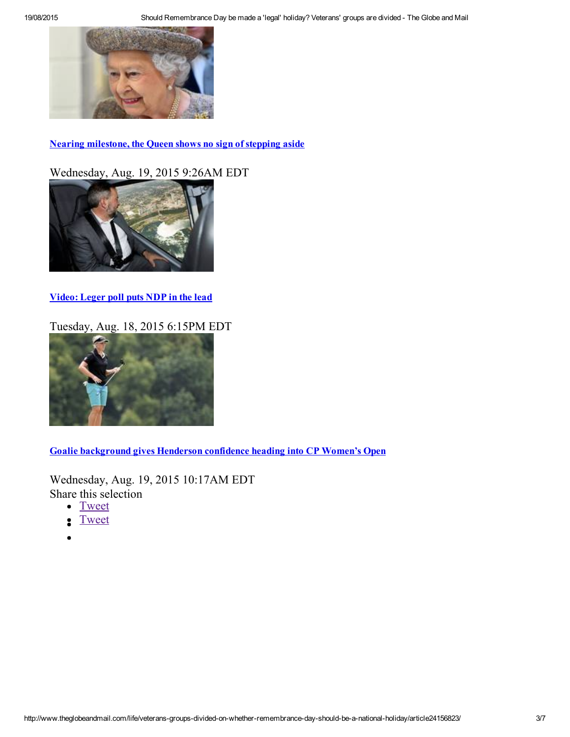

Nearing milestone, the Queen shows no sign of stepping aside

Wednesday, Aug. 19, 2015 9:26AM EDT



[Video:](http://www.theglobeandmail.com/news/news-video/video-ctv-montreal-poll-puts-ndp-in-the-lead/article25989252/) Leger poll puts NDP in the lead

[Tuesday,](http://www.theglobeandmail.com/sports/golf/goalie-background-gives-henderson-confidence-heading-into-cp-womens-open/article26014334/) Aug. 18, 2015 6:15PM EDT



Goalie [background](http://www.theglobeandmail.com/sports/golf/goalie-background-gives-henderson-confidence-heading-into-cp-womens-open/article26014334/) gives Henderson confidence heading into CP Women's Open

Wednesday, Aug. 19, 2015 10:17AM EDT Share this selection

- [Tweet](http://www.theglobeandmail.com/life/veterans-groups-divided-on-whether-remembrance-day-should-be-a-national-holiday/article24156823/)
- [Tweet](http://www.theglobeandmail.com/life/veterans-groups-divided-on-whether-remembrance-day-should-be-a-national-holiday/article24156823/)  $\bullet$
-